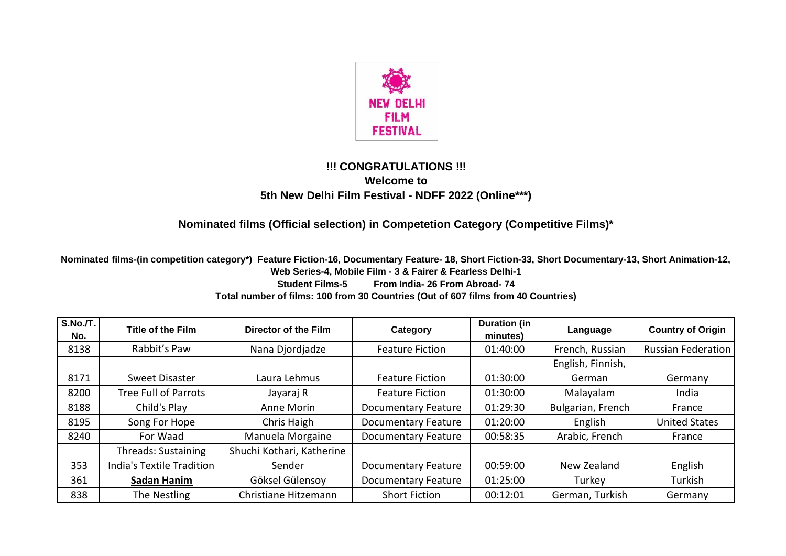

## **!!! CONGRATULATIONS !!! Welcome to 5th New Delhi Film Festival - NDFF 2022 (Online\*\*\*)**

## **Nominated films (Official selection) in Competetion Category (Competitive Films)\***

**Nominated films-(in competition category\*) Feature Fiction-16, Documentary Feature- 18, Short Fiction-33, Short Documentary-13, Short Animation-12, Web Series-4, Mobile Film - 3 & Fairer & Fearless Delhi-1 Student Films-5 From India- 26 From Abroad- 74 Total number of films: 100 from 30 Countries (Out of 607 films from 40 Countries)**

| S.No.T. <br>No. | <b>Title of the Film</b>    | Director of the Film      | Category                   | <b>Duration (in</b><br>minutes) | Language          | <b>Country of Origin</b>  |
|-----------------|-----------------------------|---------------------------|----------------------------|---------------------------------|-------------------|---------------------------|
| 8138            | Rabbit's Paw                | Nana Djordjadze           | <b>Feature Fiction</b>     | 01:40:00                        | French, Russian   | <b>Russian Federation</b> |
|                 |                             |                           |                            |                                 | English, Finnish, |                           |
| 8171            | Sweet Disaster              | Laura Lehmus              | <b>Feature Fiction</b>     | 01:30:00                        | German            | Germany                   |
| 8200            | <b>Tree Full of Parrots</b> | Jayaraj R                 | <b>Feature Fiction</b>     | 01:30:00                        | Malayalam         | India                     |
| 8188            | Child's Play                | Anne Morin                | <b>Documentary Feature</b> | 01:29:30                        | Bulgarian, French | France                    |
| 8195            | Song For Hope               | Chris Haigh               | <b>Documentary Feature</b> | 01:20:00                        | English           | <b>United States</b>      |
| 8240            | For Waad                    | Manuela Morgaine          | <b>Documentary Feature</b> | 00:58:35                        | Arabic, French    | France                    |
|                 | Threads: Sustaining         | Shuchi Kothari, Katherine |                            |                                 |                   |                           |
| 353             | India's Textile Tradition   | Sender                    | <b>Documentary Feature</b> | 00:59:00                        | New Zealand       | English                   |
| 361             | Sadan Hanim                 | Göksel Gülensoy           | <b>Documentary Feature</b> | 01:25:00                        | Turkey            | Turkish                   |
| 838             | The Nestling                | Christiane Hitzemann      | <b>Short Fiction</b>       | 00:12:01                        | German, Turkish   | Germany                   |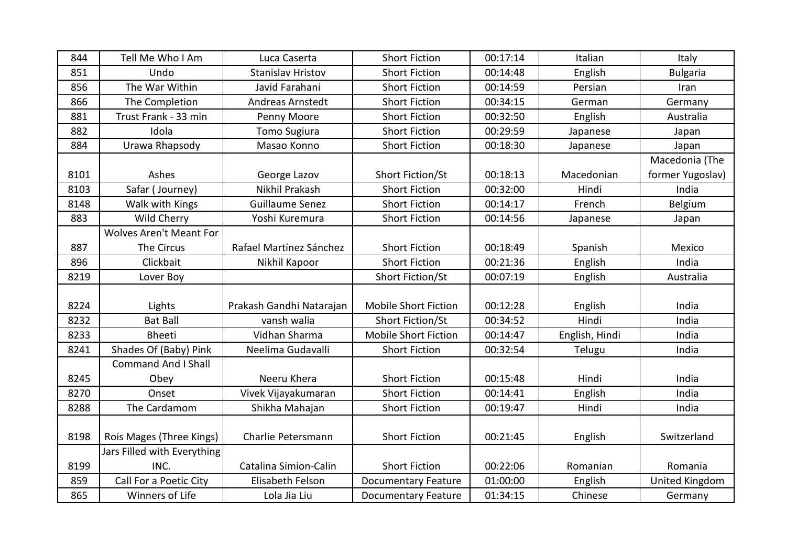| 844  | Tell Me Who I Am               | Luca Caserta             | <b>Short Fiction</b>        | 00:17:14 | Italian        | Italy            |
|------|--------------------------------|--------------------------|-----------------------------|----------|----------------|------------------|
| 851  | Undo                           | Stanislav Hristov        | <b>Short Fiction</b>        | 00:14:48 | English        | <b>Bulgaria</b>  |
| 856  | The War Within                 | Javid Farahani           | <b>Short Fiction</b>        | 00:14:59 | Persian        | Iran             |
| 866  | The Completion                 | Andreas Arnstedt         | <b>Short Fiction</b>        | 00:34:15 | German         | Germany          |
| 881  | Trust Frank - 33 min           | Penny Moore              | <b>Short Fiction</b>        | 00:32:50 | English        | Australia        |
| 882  | Idola                          | <b>Tomo Sugiura</b>      | <b>Short Fiction</b>        | 00:29:59 | Japanese       | Japan            |
| 884  | Urawa Rhapsody                 | Masao Konno              | <b>Short Fiction</b>        | 00:18:30 | Japanese       | Japan            |
|      |                                |                          |                             |          |                | Macedonia (The   |
| 8101 | Ashes                          | George Lazov             | Short Fiction/St            | 00:18:13 | Macedonian     | former Yugoslav) |
| 8103 | Safar (Journey)                | Nikhil Prakash           | <b>Short Fiction</b>        | 00:32:00 | Hindi          | India            |
| 8148 | Walk with Kings                | <b>Guillaume Senez</b>   | <b>Short Fiction</b>        | 00:14:17 | French         | Belgium          |
| 883  | Wild Cherry                    | Yoshi Kuremura           | <b>Short Fiction</b>        | 00:14:56 | Japanese       | Japan            |
|      | <b>Wolves Aren't Meant For</b> |                          |                             |          |                |                  |
| 887  | The Circus                     | Rafael Martínez Sánchez  | <b>Short Fiction</b>        | 00:18:49 | Spanish        | Mexico           |
| 896  | Clickbait                      | Nikhil Kapoor            | <b>Short Fiction</b>        | 00:21:36 | English        | India            |
| 8219 | Lover Boy                      |                          | Short Fiction/St            | 00:07:19 | English        | Australia        |
|      |                                |                          |                             |          |                |                  |
| 8224 | Lights                         | Prakash Gandhi Natarajan | <b>Mobile Short Fiction</b> | 00:12:28 | English        | India            |
| 8232 | <b>Bat Ball</b>                | vansh walia              | <b>Short Fiction/St</b>     | 00:34:52 | Hindi          | India            |
| 8233 | <b>Bheeti</b>                  | Vidhan Sharma            | <b>Mobile Short Fiction</b> | 00:14:47 | English, Hindi | India            |
| 8241 | Shades Of (Baby) Pink          | Neelima Gudavalli        | <b>Short Fiction</b>        | 00:32:54 | Telugu         | India            |
|      | <b>Command And I Shall</b>     |                          |                             |          |                |                  |
| 8245 | Obey                           | Neeru Khera              | <b>Short Fiction</b>        | 00:15:48 | Hindi          | India            |
| 8270 | Onset                          | Vivek Vijayakumaran      | <b>Short Fiction</b>        | 00:14:41 | English        | India            |
| 8288 | The Cardamom                   | Shikha Mahajan           | <b>Short Fiction</b>        | 00:19:47 | Hindi          | India            |
|      |                                |                          |                             |          |                |                  |
| 8198 | Rois Mages (Three Kings)       | Charlie Petersmann       | <b>Short Fiction</b>        | 00:21:45 | English        | Switzerland      |
|      | Jars Filled with Everything    |                          |                             |          |                |                  |
| 8199 | INC.                           | Catalina Simion-Calin    | <b>Short Fiction</b>        | 00:22:06 | Romanian       | Romania          |
| 859  | Call For a Poetic City         | Elisabeth Felson         | <b>Documentary Feature</b>  | 01:00:00 | English        | United Kingdom   |
| 865  | Winners of Life                | Lola Jia Liu             | <b>Documentary Feature</b>  | 01:34:15 | Chinese        | Germany          |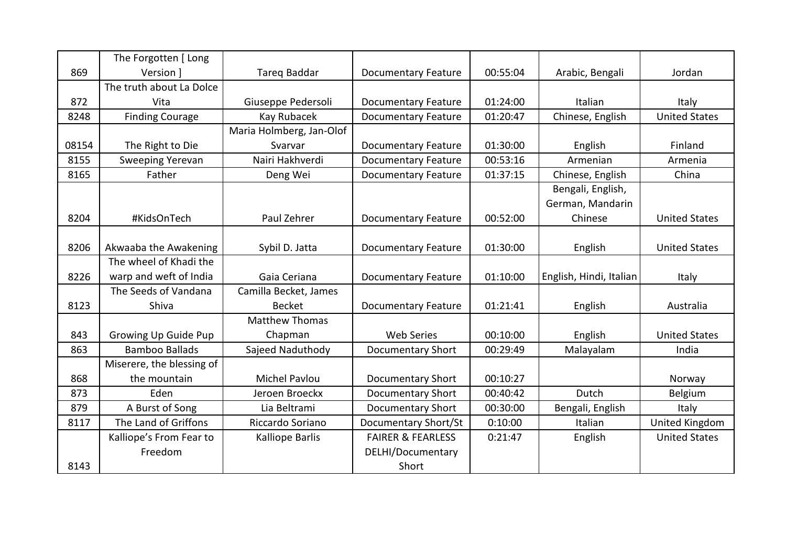|       | The Forgotten [ Long        |                          |                              |          |                         |                      |
|-------|-----------------------------|--------------------------|------------------------------|----------|-------------------------|----------------------|
| 869   | Version 1                   | <b>Tareg Baddar</b>      | <b>Documentary Feature</b>   | 00:55:04 | Arabic, Bengali         | Jordan               |
|       | The truth about La Dolce    |                          |                              |          |                         |                      |
| 872   | Vita                        | Giuseppe Pedersoli       | <b>Documentary Feature</b>   | 01:24:00 | Italian                 | <b>Italy</b>         |
| 8248  | <b>Finding Courage</b>      | Kay Rubacek              | <b>Documentary Feature</b>   | 01:20:47 | Chinese, English        | <b>United States</b> |
|       |                             | Maria Holmberg, Jan-Olof |                              |          |                         |                      |
| 08154 | The Right to Die            | Svarvar                  | <b>Documentary Feature</b>   | 01:30:00 | English                 | Finland              |
| 8155  | <b>Sweeping Yerevan</b>     | Nairi Hakhverdi          | <b>Documentary Feature</b>   | 00:53:16 | Armenian                | Armenia              |
| 8165  | Father                      | Deng Wei                 | <b>Documentary Feature</b>   | 01:37:15 | Chinese, English        | China                |
|       |                             |                          |                              |          | Bengali, English,       |                      |
|       |                             |                          |                              |          | German, Mandarin        |                      |
| 8204  | #KidsOnTech                 | Paul Zehrer              | <b>Documentary Feature</b>   | 00:52:00 | Chinese                 | <b>United States</b> |
|       |                             |                          |                              |          |                         |                      |
| 8206  | Akwaaba the Awakening       | Sybil D. Jatta           | <b>Documentary Feature</b>   | 01:30:00 | English                 | <b>United States</b> |
|       | The wheel of Khadi the      |                          |                              |          |                         |                      |
| 8226  | warp and weft of India      | Gaia Ceriana             | <b>Documentary Feature</b>   | 01:10:00 | English, Hindi, Italian | Italy                |
|       | The Seeds of Vandana        | Camilla Becket, James    |                              |          |                         |                      |
| 8123  | Shiva                       | <b>Becket</b>            | <b>Documentary Feature</b>   | 01:21:41 | English                 | Australia            |
|       |                             | <b>Matthew Thomas</b>    |                              |          |                         |                      |
| 843   | <b>Growing Up Guide Pup</b> | Chapman                  | <b>Web Series</b>            | 00:10:00 | English                 | <b>United States</b> |
| 863   | <b>Bamboo Ballads</b>       | Sajeed Naduthody         | <b>Documentary Short</b>     | 00:29:49 | Malayalam               | India                |
|       | Miserere, the blessing of   |                          |                              |          |                         |                      |
| 868   | the mountain                | Michel Pavlou            | <b>Documentary Short</b>     | 00:10:27 |                         | Norway               |
| 873   | Eden                        | Jeroen Broeckx           | <b>Documentary Short</b>     | 00:40:42 | Dutch                   | Belgium              |
| 879   | A Burst of Song             | Lia Beltrami             | <b>Documentary Short</b>     | 00:30:00 | Bengali, English        | Italy                |
| 8117  | The Land of Griffons        | Riccardo Soriano         | Documentary Short/St         | 0:10:00  | Italian                 | United Kingdom       |
|       | Kalliope's From Fear to     | Kalliope Barlis          | <b>FAIRER &amp; FEARLESS</b> | 0:21:47  | English                 | <b>United States</b> |
|       | Freedom                     |                          | DELHI/Documentary            |          |                         |                      |
| 8143  |                             |                          | Short                        |          |                         |                      |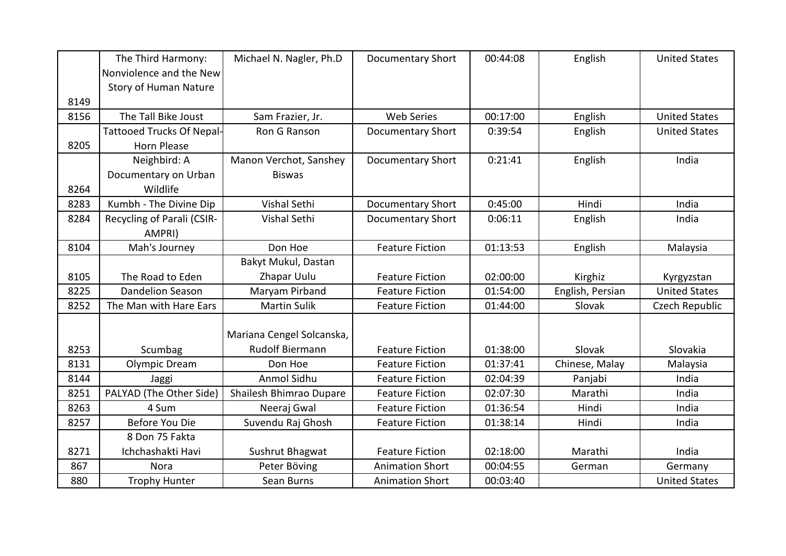|      | The Third Harmony:               | Michael N. Nagler, Ph.D   | <b>Documentary Short</b> | 00:44:08 | English          | <b>United States</b> |
|------|----------------------------------|---------------------------|--------------------------|----------|------------------|----------------------|
|      | Nonviolence and the New          |                           |                          |          |                  |                      |
|      | Story of Human Nature            |                           |                          |          |                  |                      |
| 8149 |                                  |                           |                          |          |                  |                      |
| 8156 | The Tall Bike Joust              | Sam Frazier, Jr.          | <b>Web Series</b>        | 00:17:00 | English          | <b>United States</b> |
|      | <b>Tattooed Trucks Of Nepal-</b> | Ron G Ranson              | <b>Documentary Short</b> | 0:39:54  | English          | <b>United States</b> |
| 8205 | <b>Horn Please</b>               |                           |                          |          |                  |                      |
|      | Neighbird: A                     | Manon Verchot, Sanshey    | <b>Documentary Short</b> | 0:21:41  | English          | India                |
|      | Documentary on Urban             | <b>Biswas</b>             |                          |          |                  |                      |
| 8264 | Wildlife                         |                           |                          |          |                  |                      |
| 8283 | Kumbh - The Divine Dip           | Vishal Sethi              | <b>Documentary Short</b> | 0:45:00  | Hindi            | India                |
| 8284 | Recycling of Parali (CSIR-       | Vishal Sethi              | <b>Documentary Short</b> | 0:06:11  | English          | India                |
|      | AMPRI)                           |                           |                          |          |                  |                      |
| 8104 | Mah's Journey                    | Don Hoe                   | <b>Feature Fiction</b>   | 01:13:53 | English          | Malaysia             |
|      |                                  | Bakyt Mukul, Dastan       |                          |          |                  |                      |
| 8105 | The Road to Eden                 | Zhapar Uulu               | <b>Feature Fiction</b>   | 02:00:00 | Kirghiz          | Kyrgyzstan           |
| 8225 | <b>Dandelion Season</b>          | Maryam Pirband            | <b>Feature Fiction</b>   | 01:54:00 | English, Persian | <b>United States</b> |
| 8252 | The Man with Hare Ears           | <b>Martin Sulik</b>       | <b>Feature Fiction</b>   | 01:44:00 | Slovak           | Czech Republic       |
|      |                                  |                           |                          |          |                  |                      |
|      |                                  | Mariana Cengel Solcanska, |                          |          |                  |                      |
| 8253 | Scumbag                          | <b>Rudolf Biermann</b>    | <b>Feature Fiction</b>   | 01:38:00 | Slovak           | Slovakia             |
| 8131 | Olympic Dream                    | Don Hoe                   | <b>Feature Fiction</b>   | 01:37:41 | Chinese, Malay   | Malaysia             |
| 8144 | Jaggi                            | Anmol Sidhu               | <b>Feature Fiction</b>   | 02:04:39 | Panjabi          | India                |
| 8251 | PALYAD (The Other Side)          | Shailesh Bhimrao Dupare   | <b>Feature Fiction</b>   | 02:07:30 | Marathi          | India                |
| 8263 | 4 Sum                            | Neeraj Gwal               | <b>Feature Fiction</b>   | 01:36:54 | Hindi            | India                |
| 8257 | Before You Die                   | Suvendu Raj Ghosh         | <b>Feature Fiction</b>   | 01:38:14 | Hindi            | India                |
|      | 8 Don 75 Fakta                   |                           |                          |          |                  |                      |
| 8271 | Ichchashakti Havi                | Sushrut Bhagwat           | <b>Feature Fiction</b>   | 02:18:00 | Marathi          | India                |
| 867  | Nora                             | Peter Böving              | <b>Animation Short</b>   | 00:04:55 | German           | Germany              |
| 880  | <b>Trophy Hunter</b>             | Sean Burns                | <b>Animation Short</b>   | 00:03:40 |                  | <b>United States</b> |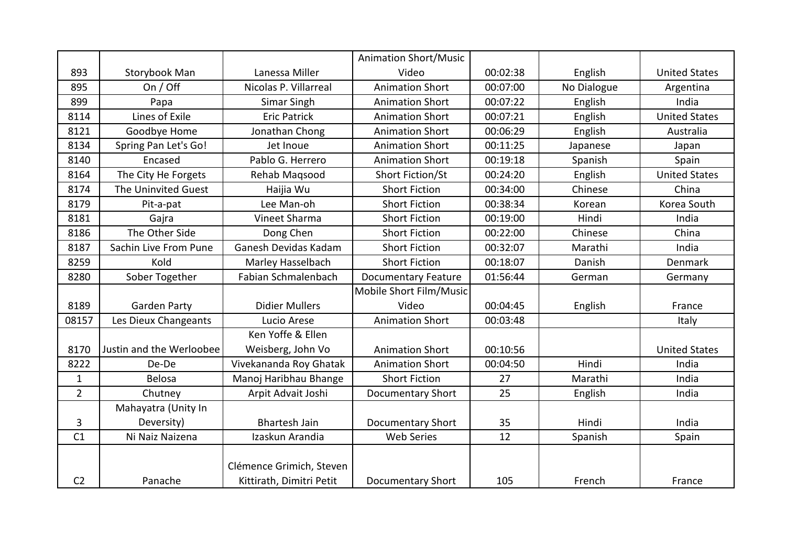|                |                          |                          | <b>Animation Short/Music</b> |          |             |                      |
|----------------|--------------------------|--------------------------|------------------------------|----------|-------------|----------------------|
| 893            | Storybook Man            | Lanessa Miller           | Video                        | 00:02:38 | English     | <b>United States</b> |
| 895            | On / Off                 | Nicolas P. Villarreal    | <b>Animation Short</b>       | 00:07:00 | No Dialogue | Argentina            |
| 899            | Papa                     | Simar Singh              | <b>Animation Short</b>       | 00:07:22 | English     | India                |
| 8114           | Lines of Exile           | <b>Eric Patrick</b>      | <b>Animation Short</b>       | 00:07:21 | English     | <b>United States</b> |
| 8121           | Goodbye Home             | Jonathan Chong           | <b>Animation Short</b>       | 00:06:29 | English     | Australia            |
| 8134           | Spring Pan Let's Go!     | Jet Inoue                | <b>Animation Short</b>       | 00:11:25 | Japanese    | Japan                |
| 8140           | Encased                  | Pablo G. Herrero         | <b>Animation Short</b>       | 00:19:18 | Spanish     | Spain                |
| 8164           | The City He Forgets      | Rehab Magsood            | Short Fiction/St             | 00:24:20 | English     | <b>United States</b> |
| 8174           | The Uninvited Guest      | Haijia Wu                | <b>Short Fiction</b>         | 00:34:00 | Chinese     | China                |
| 8179           | Pit-a-pat                | Lee Man-oh               | <b>Short Fiction</b>         | 00:38:34 | Korean      | Korea South          |
| 8181           | Gajra                    | Vineet Sharma            | <b>Short Fiction</b>         | 00:19:00 | Hindi       | India                |
| 8186           | The Other Side           | Dong Chen                | <b>Short Fiction</b>         | 00:22:00 | Chinese     | China                |
| 8187           | Sachin Live From Pune    | Ganesh Devidas Kadam     | <b>Short Fiction</b>         | 00:32:07 | Marathi     | India                |
| 8259           | Kold                     | Marley Hasselbach        | <b>Short Fiction</b>         | 00:18:07 | Danish      | Denmark              |
| 8280           | Sober Together           | Fabian Schmalenbach      | <b>Documentary Feature</b>   | 01:56:44 | German      | Germany              |
|                |                          |                          | Mobile Short Film/Music      |          |             |                      |
| 8189           | <b>Garden Party</b>      | <b>Didier Mullers</b>    | Video                        | 00:04:45 | English     | France               |
| 08157          | Les Dieux Changeants     | Lucio Arese              | <b>Animation Short</b>       | 00:03:48 |             | Italy                |
|                |                          | Ken Yoffe & Ellen        |                              |          |             |                      |
| 8170           | Justin and the Werloobee | Weisberg, John Vo        | <b>Animation Short</b>       | 00:10:56 |             | <b>United States</b> |
| 8222           | De-De                    | Vivekananda Roy Ghatak   | <b>Animation Short</b>       | 00:04:50 | Hindi       | India                |
| $\mathbf{1}$   | <b>Belosa</b>            | Manoj Haribhau Bhange    | <b>Short Fiction</b>         | 27       | Marathi     | India                |
| $\overline{2}$ | Chutney                  | Arpit Advait Joshi       | Documentary Short            | 25       | English     | India                |
|                | Mahayatra (Unity In      |                          |                              |          |             |                      |
| 3              | Deversity)               | <b>Bhartesh Jain</b>     | Documentary Short            | 35       | Hindi       | India                |
| C1             | Ni Naiz Naizena          | Izaskun Arandia          | <b>Web Series</b>            | 12       | Spanish     | Spain                |
|                |                          |                          |                              |          |             |                      |
|                |                          | Clémence Grimich, Steven |                              |          |             |                      |
| C <sub>2</sub> | Panache                  | Kittirath, Dimitri Petit | <b>Documentary Short</b>     | 105      | French      | France               |